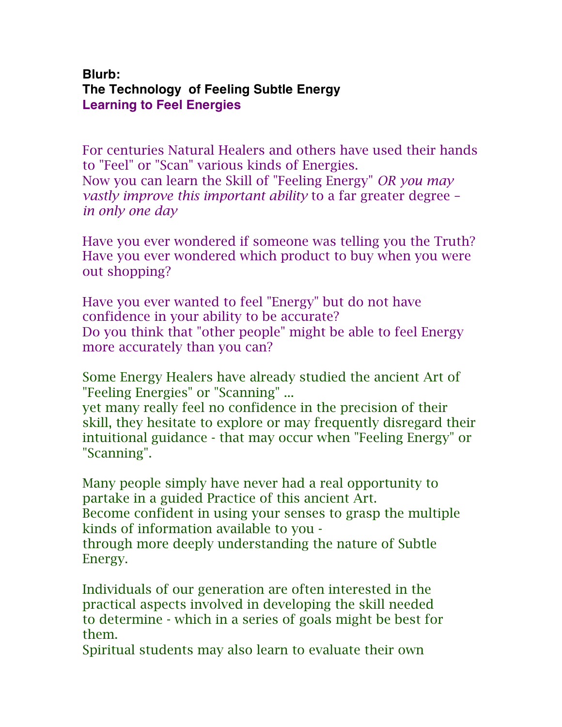## **Blurb: The Technology of Feeling Subtle Energy Learning to Feel Energies**

For centuries Natural Healers and others have used their hands to "Feel" or "Scan" various kinds of Energies. Now you can learn the Skill of "Feeling Energy" *OR you may vastly improve this important ability* to a far greater degree – *in only one day*

Have you ever wondered if someone was telling you the Truth? Have you ever wondered which product to buy when you were out shopping?

Have you ever wanted to feel "Energy" but do not have confidence in your ability to be accurate? Do you think that "other people" might be able to feel Energy more accurately than you can?

Some Energy Healers have already studied the ancient Art of "Feeling Energies" or "Scanning" ...

yet many really feel no confidence in the precision of their skill, they hesitate to explore or may frequently disregard their intuitional guidance - that may occur when "Feeling Energy" or "Scanning".

Many people simply have never had a real opportunity to partake in a guided Practice of this ancient Art. Become confident in using your senses to grasp the multiple kinds of information available to you through more deeply understanding the nature of Subtle Energy.

Individuals of our generation are often interested in the practical aspects involved in developing the skill needed to determine - which in a series of goals might be best for them.

Spiritual students may also learn to evaluate their own